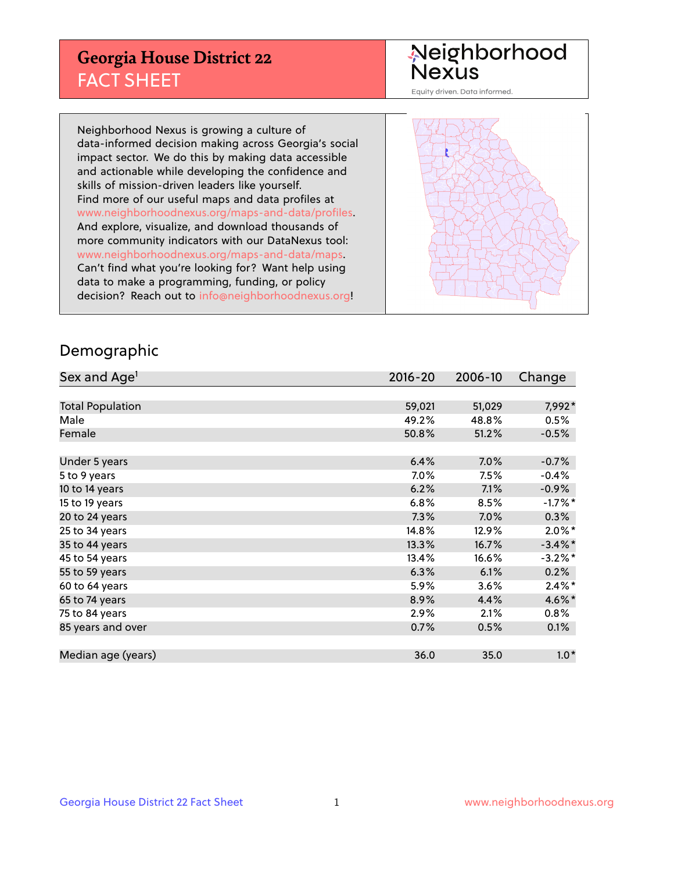## **Georgia House District 22** FACT SHEET

# Neighborhood<br>Nexus

Equity driven. Data informed.

Neighborhood Nexus is growing a culture of data-informed decision making across Georgia's social impact sector. We do this by making data accessible and actionable while developing the confidence and skills of mission-driven leaders like yourself. Find more of our useful maps and data profiles at www.neighborhoodnexus.org/maps-and-data/profiles. And explore, visualize, and download thousands of more community indicators with our DataNexus tool: www.neighborhoodnexus.org/maps-and-data/maps. Can't find what you're looking for? Want help using data to make a programming, funding, or policy decision? Reach out to [info@neighborhoodnexus.org!](mailto:info@neighborhoodnexus.org)



#### Demographic

| Sex and Age <sup>1</sup> | $2016 - 20$ | 2006-10 | Change               |
|--------------------------|-------------|---------|----------------------|
|                          |             |         |                      |
| <b>Total Population</b>  | 59,021      | 51,029  | 7,992*               |
| Male                     | 49.2%       | 48.8%   | 0.5%                 |
| Female                   | 50.8%       | 51.2%   | $-0.5%$              |
|                          |             |         |                      |
| Under 5 years            | 6.4%        | $7.0\%$ | $-0.7%$              |
| 5 to 9 years             | 7.0%        | 7.5%    | $-0.4%$              |
| 10 to 14 years           | 6.2%        | 7.1%    | $-0.9%$              |
| 15 to 19 years           | 6.8%        | 8.5%    | $-1.7%$ *            |
| 20 to 24 years           | 7.3%        | 7.0%    | 0.3%                 |
| 25 to 34 years           | 14.8%       | 12.9%   | $2.0\%$ *            |
| 35 to 44 years           | 13.3%       | 16.7%   | $-3.4\%$ *           |
| 45 to 54 years           | 13.4%       | 16.6%   | $-3.2\%$ *           |
| 55 to 59 years           | 6.3%        | 6.1%    | 0.2%                 |
| 60 to 64 years           | 5.9%        | 3.6%    | $2.4\%$ <sup>*</sup> |
| 65 to 74 years           | 8.9%        | 4.4%    | 4.6%*                |
| 75 to 84 years           | 2.9%        | 2.1%    | $0.8\%$              |
| 85 years and over        | 0.7%        | 0.5%    | 0.1%                 |
|                          |             |         |                      |
| Median age (years)       | 36.0        | 35.0    | $1.0*$               |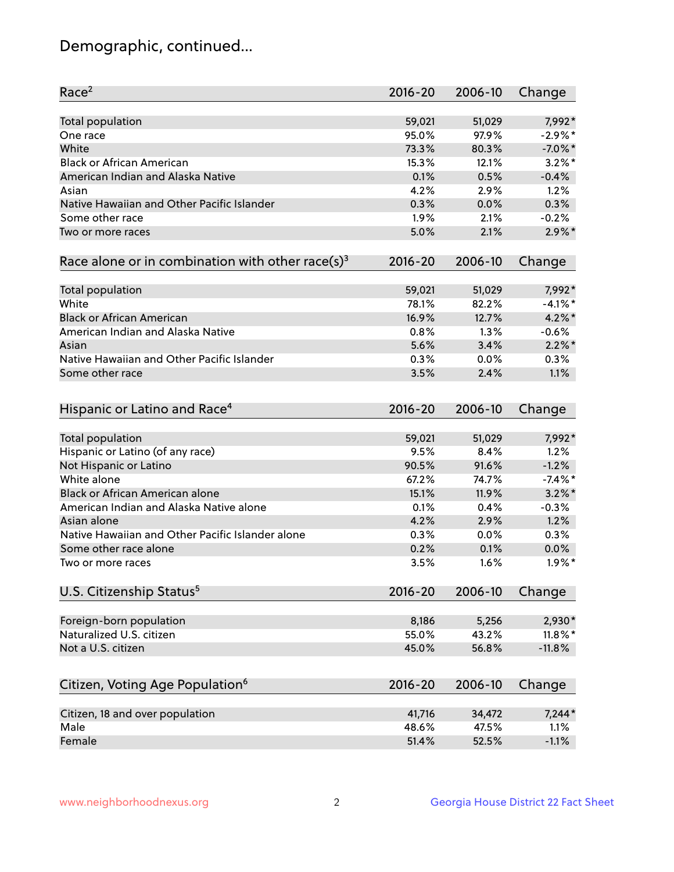## Demographic, continued...

| Race <sup>2</sup>                                            | $2016 - 20$ | 2006-10 | Change     |
|--------------------------------------------------------------|-------------|---------|------------|
| <b>Total population</b>                                      | 59,021      | 51,029  | 7,992*     |
| One race                                                     | 95.0%       | 97.9%   | $-2.9\%$ * |
| White                                                        | 73.3%       | 80.3%   | $-7.0\%$ * |
| <b>Black or African American</b>                             | 15.3%       | 12.1%   | $3.2\%$ *  |
| American Indian and Alaska Native                            | 0.1%        | 0.5%    | $-0.4%$    |
| Asian                                                        | 4.2%        | 2.9%    | 1.2%       |
| Native Hawaiian and Other Pacific Islander                   | 0.3%        | 0.0%    | 0.3%       |
| Some other race                                              | 1.9%        | 2.1%    | $-0.2%$    |
| Two or more races                                            | 5.0%        | 2.1%    | $2.9\%$ *  |
| Race alone or in combination with other race(s) <sup>3</sup> | $2016 - 20$ | 2006-10 | Change     |
| Total population                                             | 59,021      | 51,029  | 7,992*     |
| White                                                        | 78.1%       | 82.2%   | $-4.1\%$ * |
| <b>Black or African American</b>                             | 16.9%       | 12.7%   | $4.2\%$ *  |
| American Indian and Alaska Native                            | 0.8%        | 1.3%    | $-0.6%$    |
| Asian                                                        | 5.6%        | 3.4%    | $2.2\%$ *  |
| Native Hawaiian and Other Pacific Islander                   | 0.3%        | 0.0%    | 0.3%       |
| Some other race                                              | 3.5%        | 2.4%    | 1.1%       |
| Hispanic or Latino and Race <sup>4</sup>                     | $2016 - 20$ | 2006-10 | Change     |
| <b>Total population</b>                                      | 59,021      | 51,029  | 7,992*     |
| Hispanic or Latino (of any race)                             | 9.5%        | 8.4%    | 1.2%       |
| Not Hispanic or Latino                                       | 90.5%       | 91.6%   | $-1.2%$    |
| White alone                                                  | 67.2%       | 74.7%   | $-7.4\%$ * |
| <b>Black or African American alone</b>                       | 15.1%       | 11.9%   | $3.2\%$ *  |
| American Indian and Alaska Native alone                      | 0.1%        | 0.4%    | $-0.3%$    |
| Asian alone                                                  | 4.2%        | 2.9%    | 1.2%       |
| Native Hawaiian and Other Pacific Islander alone             | 0.3%        | 0.0%    | 0.3%       |
| Some other race alone                                        | 0.2%        | 0.1%    | 0.0%       |
| Two or more races                                            | 3.5%        | 1.6%    | $1.9\%$ *  |
| U.S. Citizenship Status <sup>5</sup>                         | $2016 - 20$ | 2006-10 | Change     |
| Foreign-born population                                      | 8,186       | 5,256   | 2,930*     |
| Naturalized U.S. citizen                                     | 55.0%       | 43.2%   | $11.8\%$ * |
| Not a U.S. citizen                                           | 45.0%       | 56.8%   | $-11.8%$   |
|                                                              |             |         |            |
| Citizen, Voting Age Population <sup>6</sup>                  | $2016 - 20$ | 2006-10 | Change     |
| Citizen, 18 and over population                              | 41,716      | 34,472  | $7,244*$   |
| Male                                                         | 48.6%       | 47.5%   | 1.1%       |
| Female                                                       | 51.4%       | 52.5%   | $-1.1%$    |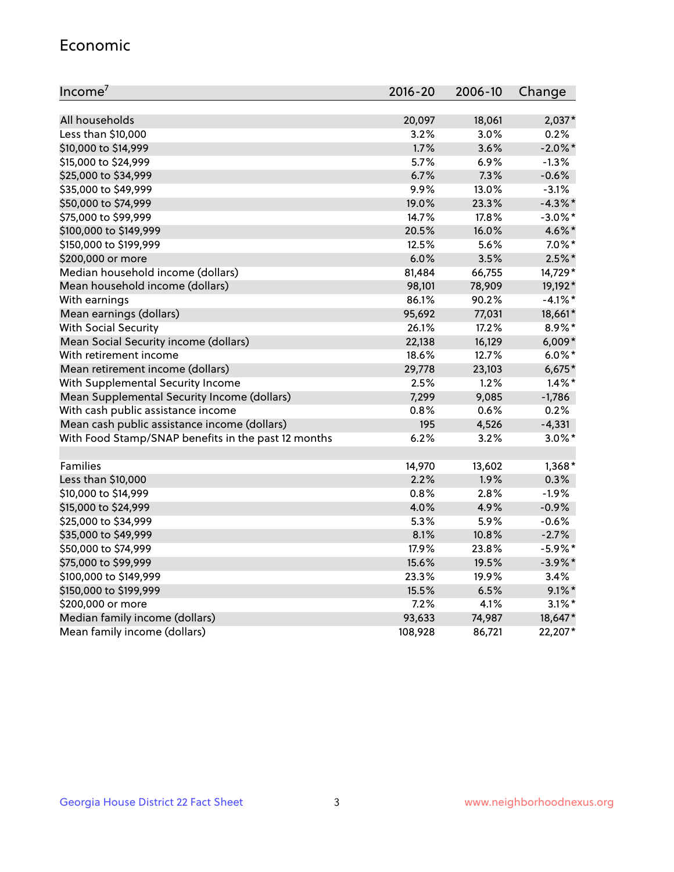#### Economic

| Income <sup>7</sup>                                 | 2016-20 | 2006-10 | Change     |
|-----------------------------------------------------|---------|---------|------------|
|                                                     |         |         |            |
| All households                                      | 20,097  | 18,061  | $2,037*$   |
| Less than \$10,000                                  | 3.2%    | 3.0%    | 0.2%       |
| \$10,000 to \$14,999                                | 1.7%    | 3.6%    | $-2.0\%$ * |
| \$15,000 to \$24,999                                | 5.7%    | 6.9%    | $-1.3%$    |
| \$25,000 to \$34,999                                | 6.7%    | 7.3%    | $-0.6%$    |
| \$35,000 to \$49,999                                | 9.9%    | 13.0%   | $-3.1%$    |
| \$50,000 to \$74,999                                | 19.0%   | 23.3%   | $-4.3%$ *  |
| \$75,000 to \$99,999                                | 14.7%   | 17.8%   | $-3.0\%$ * |
| \$100,000 to \$149,999                              | 20.5%   | 16.0%   | 4.6%*      |
| \$150,000 to \$199,999                              | 12.5%   | 5.6%    | $7.0\%$ *  |
| \$200,000 or more                                   | 6.0%    | 3.5%    | $2.5%$ *   |
| Median household income (dollars)                   | 81,484  | 66,755  | 14,729*    |
| Mean household income (dollars)                     | 98,101  | 78,909  | 19,192*    |
| With earnings                                       | 86.1%   | 90.2%   | $-4.1%$ *  |
| Mean earnings (dollars)                             | 95,692  | 77,031  | 18,661*    |
| <b>With Social Security</b>                         | 26.1%   | 17.2%   | 8.9%*      |
| Mean Social Security income (dollars)               | 22,138  | 16,129  | $6,009*$   |
| With retirement income                              | 18.6%   | 12.7%   | $6.0\%$ *  |
| Mean retirement income (dollars)                    | 29,778  | 23,103  | $6,675*$   |
| With Supplemental Security Income                   | 2.5%    | 1.2%    | $1.4\%$ *  |
| Mean Supplemental Security Income (dollars)         | 7,299   | 9,085   | $-1,786$   |
| With cash public assistance income                  | 0.8%    | 0.6%    | 0.2%       |
| Mean cash public assistance income (dollars)        | 195     | 4,526   | $-4,331$   |
| With Food Stamp/SNAP benefits in the past 12 months | 6.2%    | 3.2%    | $3.0\%$ *  |
|                                                     |         |         |            |
| Families                                            | 14,970  | 13,602  | $1,368*$   |
| Less than \$10,000                                  | 2.2%    | 1.9%    | 0.3%       |
| \$10,000 to \$14,999                                | 0.8%    | 2.8%    | $-1.9%$    |
| \$15,000 to \$24,999                                | 4.0%    | 4.9%    | $-0.9%$    |
| \$25,000 to \$34,999                                | 5.3%    | 5.9%    | $-0.6%$    |
| \$35,000 to \$49,999                                | 8.1%    | 10.8%   | $-2.7%$    |
| \$50,000 to \$74,999                                | 17.9%   | 23.8%   | $-5.9\%$ * |
| \$75,000 to \$99,999                                | 15.6%   | 19.5%   | $-3.9\%$ * |
| \$100,000 to \$149,999                              | 23.3%   | 19.9%   | 3.4%       |
| \$150,000 to \$199,999                              | 15.5%   | 6.5%    | $9.1\%$ *  |
| \$200,000 or more                                   | 7.2%    | 4.1%    | $3.1\%$ *  |
| Median family income (dollars)                      | 93,633  | 74,987  | 18,647*    |
| Mean family income (dollars)                        | 108,928 | 86,721  | 22,207*    |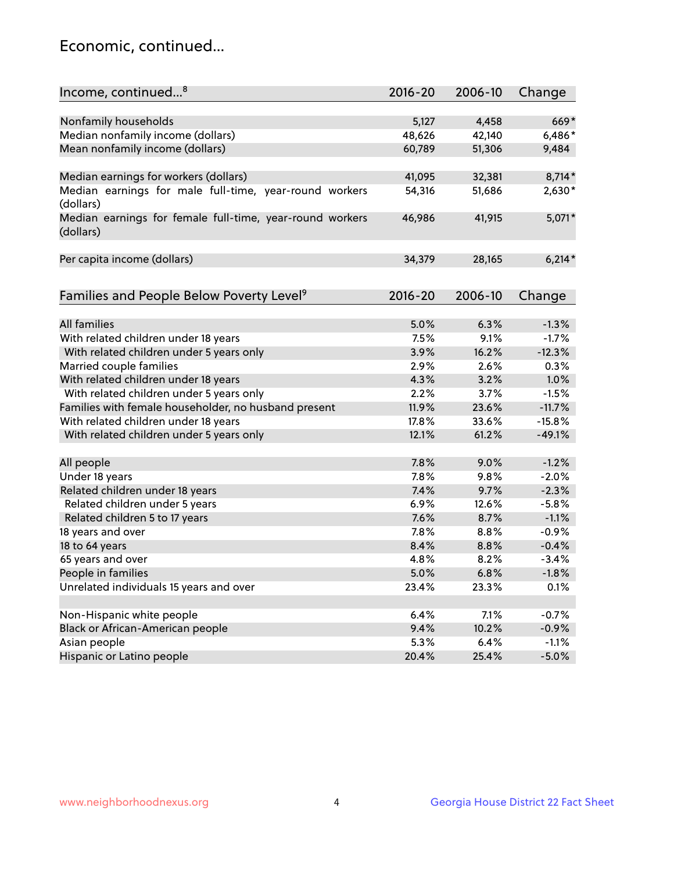## Economic, continued...

| Income, continued <sup>8</sup>                                        | $2016 - 20$ | 2006-10 | Change   |
|-----------------------------------------------------------------------|-------------|---------|----------|
|                                                                       |             |         |          |
| Nonfamily households                                                  | 5,127       | 4,458   | 669*     |
| Median nonfamily income (dollars)                                     | 48,626      | 42,140  | 6,486*   |
| Mean nonfamily income (dollars)                                       | 60,789      | 51,306  | 9,484    |
| Median earnings for workers (dollars)                                 | 41,095      | 32,381  | 8,714*   |
| Median earnings for male full-time, year-round workers                | 54,316      | 51,686  | 2,630*   |
| (dollars)                                                             |             |         |          |
| Median earnings for female full-time, year-round workers<br>(dollars) | 46,986      | 41,915  | 5,071*   |
| Per capita income (dollars)                                           | 34,379      | 28,165  | $6,214*$ |
|                                                                       |             |         |          |
| Families and People Below Poverty Level <sup>9</sup>                  | 2016-20     | 2006-10 | Change   |
|                                                                       |             |         |          |
| <b>All families</b>                                                   | 5.0%        | 6.3%    | $-1.3%$  |
| With related children under 18 years                                  | 7.5%        | 9.1%    | $-1.7%$  |
| With related children under 5 years only                              | 3.9%        | 16.2%   | $-12.3%$ |
| Married couple families                                               | 2.9%        | 2.6%    | 0.3%     |
| With related children under 18 years                                  | 4.3%        | 3.2%    | 1.0%     |
| With related children under 5 years only                              | 2.2%        | 3.7%    | $-1.5%$  |
| Families with female householder, no husband present                  | 11.9%       | 23.6%   | $-11.7%$ |
| With related children under 18 years                                  | 17.8%       | 33.6%   | $-15.8%$ |
| With related children under 5 years only                              | 12.1%       | 61.2%   | $-49.1%$ |
| All people                                                            | 7.8%        | 9.0%    | $-1.2%$  |
| Under 18 years                                                        | 7.8%        | 9.8%    | $-2.0%$  |
| Related children under 18 years                                       | 7.4%        | 9.7%    | $-2.3%$  |
| Related children under 5 years                                        | 6.9%        | 12.6%   | $-5.8%$  |
| Related children 5 to 17 years                                        | 7.6%        | 8.7%    | $-1.1%$  |
| 18 years and over                                                     | 7.8%        | 8.8%    | $-0.9%$  |
| 18 to 64 years                                                        | 8.4%        | 8.8%    | $-0.4%$  |
| 65 years and over                                                     | 4.8%        | 8.2%    | $-3.4%$  |
| People in families                                                    | 5.0%        | 6.8%    | $-1.8%$  |
| Unrelated individuals 15 years and over                               | 23.4%       | 23.3%   | 0.1%     |
|                                                                       |             |         |          |
| Non-Hispanic white people                                             | 6.4%        | 7.1%    | $-0.7%$  |
| Black or African-American people                                      | 9.4%        | 10.2%   | $-0.9%$  |
| Asian people                                                          | 5.3%        | 6.4%    | $-1.1%$  |
| Hispanic or Latino people                                             | 20.4%       | 25.4%   | $-5.0%$  |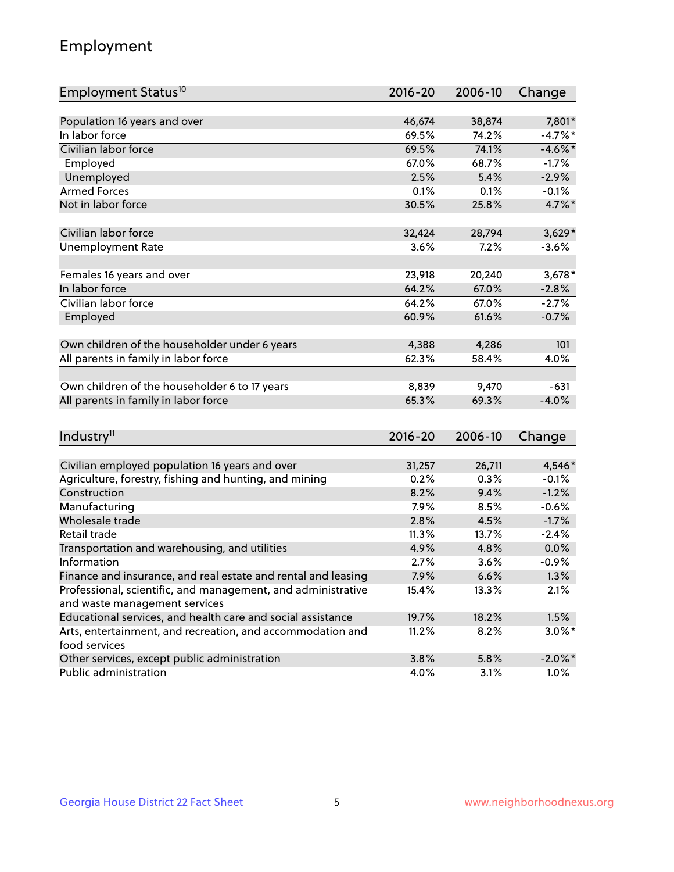## Employment

| Employment Status <sup>10</sup>                                             | $2016 - 20$ | 2006-10 | Change     |
|-----------------------------------------------------------------------------|-------------|---------|------------|
|                                                                             |             |         |            |
| Population 16 years and over                                                | 46,674      | 38,874  | 7,801*     |
| In labor force                                                              | 69.5%       | 74.2%   | $-4.7%$ *  |
| Civilian labor force                                                        | 69.5%       | 74.1%   | $-4.6\%$ * |
| Employed                                                                    | 67.0%       | 68.7%   | $-1.7%$    |
| Unemployed                                                                  | 2.5%        | 5.4%    | $-2.9%$    |
| <b>Armed Forces</b>                                                         | 0.1%        | 0.1%    | $-0.1%$    |
| Not in labor force                                                          | 30.5%       | 25.8%   | 4.7%*      |
| Civilian labor force                                                        | 32,424      | 28,794  | $3,629*$   |
| <b>Unemployment Rate</b>                                                    | 3.6%        | 7.2%    | $-3.6%$    |
|                                                                             |             |         |            |
| Females 16 years and over                                                   | 23,918      | 20,240  | $3,678*$   |
| In labor force                                                              | 64.2%       | 67.0%   | $-2.8%$    |
| Civilian labor force                                                        | 64.2%       | 67.0%   | $-2.7%$    |
| Employed                                                                    | 60.9%       | 61.6%   | $-0.7%$    |
|                                                                             |             |         |            |
| Own children of the householder under 6 years                               | 4,388       | 4,286   | 101        |
| All parents in family in labor force                                        | 62.3%       | 58.4%   | 4.0%       |
| Own children of the householder 6 to 17 years                               | 8,839       | 9,470   | $-631$     |
| All parents in family in labor force                                        | 65.3%       | 69.3%   | $-4.0%$    |
|                                                                             |             |         |            |
| Industry <sup>11</sup>                                                      | $2016 - 20$ | 2006-10 | Change     |
|                                                                             |             |         |            |
| Civilian employed population 16 years and over                              | 31,257      | 26,711  | 4,546*     |
| Agriculture, forestry, fishing and hunting, and mining                      | 0.2%        | 0.3%    | $-0.1%$    |
| Construction                                                                | 8.2%        | 9.4%    | $-1.2%$    |
| Manufacturing                                                               | 7.9%        | 8.5%    | $-0.6%$    |
| Wholesale trade                                                             | 2.8%        | 4.5%    | $-1.7%$    |
| Retail trade                                                                | 11.3%       | 13.7%   | $-2.4%$    |
| Transportation and warehousing, and utilities                               | 4.9%        | 4.8%    | 0.0%       |
| Information                                                                 | 2.7%        | 3.6%    | $-0.9%$    |
| Finance and insurance, and real estate and rental and leasing               | 7.9%        | 6.6%    | 1.3%       |
| Professional, scientific, and management, and administrative                | 15.4%       | 13.3%   | 2.1%       |
| and waste management services                                               |             |         |            |
| Educational services, and health care and social assistance                 | 19.7%       | 18.2%   | 1.5%       |
| Arts, entertainment, and recreation, and accommodation and<br>food services | 11.2%       | 8.2%    | $3.0\%$ *  |
| Other services, except public administration                                | 3.8%        | 5.8%    | $-2.0\%$ * |
| Public administration                                                       | 4.0%        | 3.1%    | 1.0%       |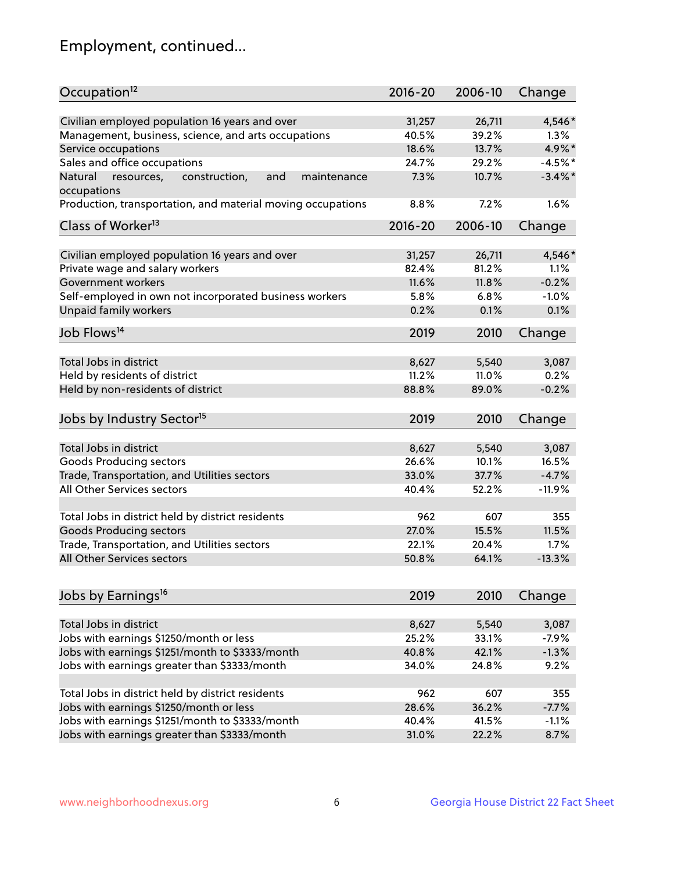## Employment, continued...

| Occupation <sup>12</sup>                                                    | $2016 - 20$ | 2006-10 | Change     |
|-----------------------------------------------------------------------------|-------------|---------|------------|
|                                                                             | 31,257      | 26,711  | 4,546*     |
| Civilian employed population 16 years and over                              | 40.5%       | 39.2%   | $1.3\%$    |
| Management, business, science, and arts occupations<br>Service occupations  | 18.6%       | 13.7%   | 4.9%*      |
|                                                                             |             |         |            |
| Sales and office occupations                                                | 24.7%       | 29.2%   | $-4.5%$ *  |
| and<br>Natural<br>resources,<br>construction,<br>maintenance<br>occupations | 7.3%        | 10.7%   | $-3.4\%$ * |
| Production, transportation, and material moving occupations                 | 8.8%        | 7.2%    | 1.6%       |
| Class of Worker <sup>13</sup>                                               | 2016-20     | 2006-10 | Change     |
|                                                                             |             |         |            |
| Civilian employed population 16 years and over                              | 31,257      | 26,711  | 4,546*     |
| Private wage and salary workers                                             | 82.4%       | 81.2%   | 1.1%       |
| Government workers                                                          | 11.6%       | 11.8%   | $-0.2%$    |
| Self-employed in own not incorporated business workers                      | 5.8%        | 6.8%    | $-1.0%$    |
| <b>Unpaid family workers</b>                                                | 0.2%        | 0.1%    | 0.1%       |
| Job Flows <sup>14</sup>                                                     | 2019        | 2010    | Change     |
|                                                                             |             |         |            |
| Total Jobs in district                                                      | 8,627       | 5,540   | 3,087      |
| Held by residents of district                                               | 11.2%       | 11.0%   | 0.2%       |
| Held by non-residents of district                                           | 88.8%       | 89.0%   | $-0.2%$    |
| Jobs by Industry Sector <sup>15</sup>                                       | 2019        | 2010    |            |
|                                                                             |             |         | Change     |
| Total Jobs in district                                                      | 8,627       | 5,540   | 3,087      |
| Goods Producing sectors                                                     | 26.6%       | 10.1%   | 16.5%      |
| Trade, Transportation, and Utilities sectors                                | 33.0%       | 37.7%   | $-4.7%$    |
| All Other Services sectors                                                  | 40.4%       | 52.2%   | $-11.9\%$  |
|                                                                             |             |         |            |
| Total Jobs in district held by district residents                           | 962         | 607     | 355        |
| <b>Goods Producing sectors</b>                                              | 27.0%       | 15.5%   | 11.5%      |
| Trade, Transportation, and Utilities sectors                                | 22.1%       | 20.4%   | 1.7%       |
| All Other Services sectors                                                  | 50.8%       | 64.1%   | $-13.3%$   |
|                                                                             |             |         |            |
| Jobs by Earnings <sup>16</sup>                                              | 2019        | 2010    | Change     |
|                                                                             |             |         |            |
| Total Jobs in district                                                      | 8,627       | 5,540   | 3,087      |
| Jobs with earnings \$1250/month or less                                     | 25.2%       | 33.1%   | $-7.9%$    |
| Jobs with earnings \$1251/month to \$3333/month                             | 40.8%       | 42.1%   | $-1.3%$    |
| Jobs with earnings greater than \$3333/month                                | 34.0%       | 24.8%   | 9.2%       |
|                                                                             |             |         |            |
| Total Jobs in district held by district residents                           | 962         | 607     | 355        |
| Jobs with earnings \$1250/month or less                                     | 28.6%       | 36.2%   | $-7.7%$    |
| Jobs with earnings \$1251/month to \$3333/month                             | 40.4%       | 41.5%   | $-1.1%$    |
| Jobs with earnings greater than \$3333/month                                | 31.0%       | 22.2%   | 8.7%       |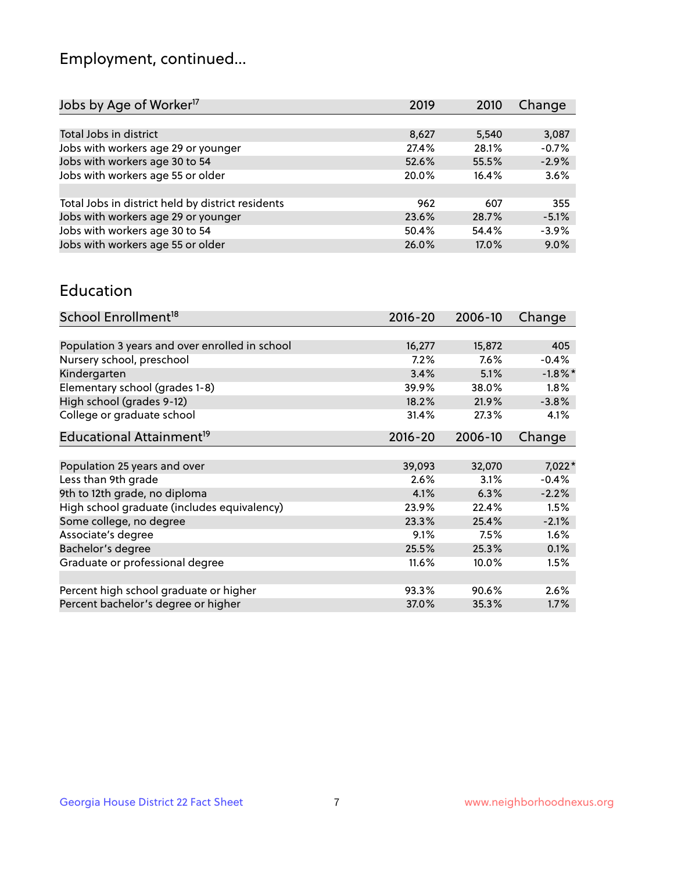## Employment, continued...

| Jobs by Age of Worker <sup>17</sup>               | 2019  | 2010  | Change  |
|---------------------------------------------------|-------|-------|---------|
|                                                   |       |       |         |
| Total Jobs in district                            | 8,627 | 5,540 | 3,087   |
| Jobs with workers age 29 or younger               | 27.4% | 28.1% | $-0.7%$ |
| Jobs with workers age 30 to 54                    | 52.6% | 55.5% | $-2.9%$ |
| Jobs with workers age 55 or older                 | 20.0% | 16.4% | 3.6%    |
|                                                   |       |       |         |
| Total Jobs in district held by district residents | 962   | 607   | 355     |
| Jobs with workers age 29 or younger               | 23.6% | 28.7% | $-5.1%$ |
| Jobs with workers age 30 to 54                    | 50.4% | 54.4% | $-3.9%$ |
| Jobs with workers age 55 or older                 | 26.0% | 17.0% | 9.0%    |

#### Education

| School Enrollment <sup>18</sup>                | $2016 - 20$ | 2006-10 | Change     |
|------------------------------------------------|-------------|---------|------------|
|                                                |             |         |            |
| Population 3 years and over enrolled in school | 16,277      | 15,872  | 405        |
| Nursery school, preschool                      | 7.2%        | 7.6%    | $-0.4%$    |
| Kindergarten                                   | 3.4%        | 5.1%    | $-1.8\%$ * |
| Elementary school (grades 1-8)                 | 39.9%       | 38.0%   | 1.8%       |
| High school (grades 9-12)                      | 18.2%       | 21.9%   | $-3.8%$    |
| College or graduate school                     | 31.4%       | 27.3%   | 4.1%       |
| Educational Attainment <sup>19</sup>           | $2016 - 20$ | 2006-10 | Change     |
|                                                |             |         |            |
| Population 25 years and over                   | 39,093      | 32,070  | $7,022*$   |
| Less than 9th grade                            | 2.6%        | 3.1%    | $-0.4%$    |
| 9th to 12th grade, no diploma                  | 4.1%        | 6.3%    | $-2.2%$    |
| High school graduate (includes equivalency)    | 23.9%       | 22.4%   | 1.5%       |
| Some college, no degree                        | 23.3%       | 25.4%   | $-2.1%$    |
| Associate's degree                             | 9.1%        | 7.5%    | 1.6%       |
| Bachelor's degree                              | 25.5%       | 25.3%   | 0.1%       |
| Graduate or professional degree                | 11.6%       | 10.0%   | 1.5%       |
|                                                |             |         |            |
| Percent high school graduate or higher         | 93.3%       | 90.6%   | 2.6%       |
| Percent bachelor's degree or higher            | 37.0%       | 35.3%   | 1.7%       |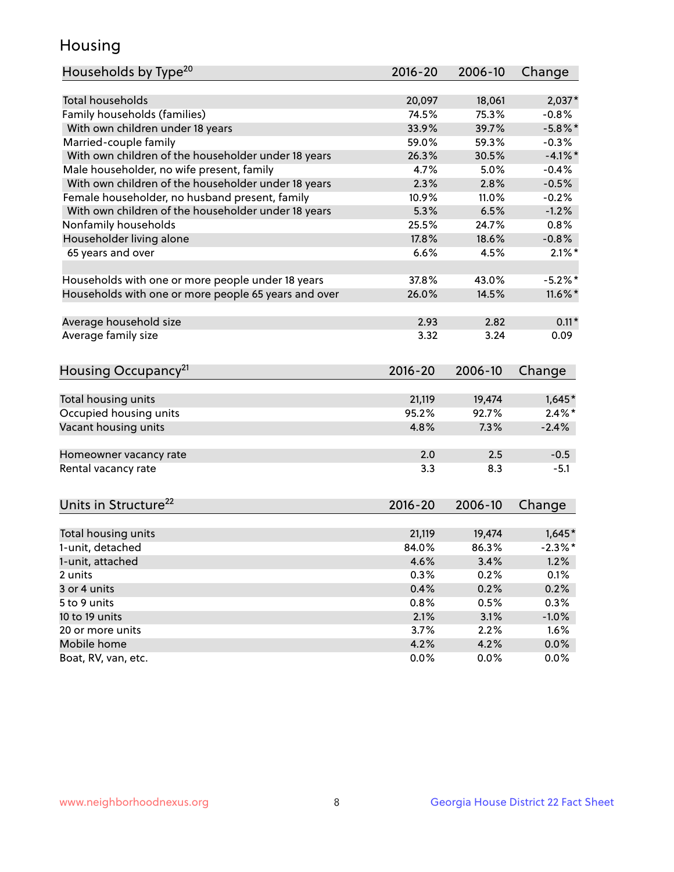## Housing

| Households by Type <sup>20</sup>                     | 2016-20     | 2006-10         | Change     |
|------------------------------------------------------|-------------|-----------------|------------|
|                                                      |             |                 |            |
| <b>Total households</b>                              | 20,097      | 18,061          | $2,037*$   |
| Family households (families)                         | 74.5%       | 75.3%           | $-0.8%$    |
| With own children under 18 years                     | 33.9%       | 39.7%           | $-5.8\%$ * |
| Married-couple family                                | 59.0%       | 59.3%           | $-0.3%$    |
| With own children of the householder under 18 years  | 26.3%       | 30.5%           | $-4.1\%$ * |
| Male householder, no wife present, family            | 4.7%        | 5.0%            | $-0.4%$    |
| With own children of the householder under 18 years  | 2.3%        | 2.8%            | $-0.5%$    |
| Female householder, no husband present, family       | 10.9%       | 11.0%           | $-0.2%$    |
| With own children of the householder under 18 years  | 5.3%        | 6.5%            | $-1.2%$    |
| Nonfamily households                                 | 25.5%       | 24.7%           | 0.8%       |
| Householder living alone                             | 17.8%       | 18.6%           | $-0.8%$    |
| 65 years and over                                    | 6.6%        | 4.5%            | $2.1\%$ *  |
|                                                      |             |                 |            |
| Households with one or more people under 18 years    | 37.8%       | 43.0%           | $-5.2%$ *  |
| Households with one or more people 65 years and over | 26.0%       | 14.5%           | $11.6\%$ * |
| Average household size                               | 2.93        | 2.82            | $0.11*$    |
| Average family size                                  | 3.32        | 3.24            | 0.09       |
| Housing Occupancy <sup>21</sup>                      | 2016-20     | 2006-10         | Change     |
|                                                      |             |                 |            |
| Total housing units                                  | 21,119      | 19,474          | $1,645*$   |
| Occupied housing units                               | 95.2%       | 92.7%           | $2.4\%$ *  |
| Vacant housing units                                 | 4.8%        | 7.3%            | $-2.4%$    |
|                                                      |             |                 |            |
| Homeowner vacancy rate                               | 2.0         | 2.5             | $-0.5$     |
| Rental vacancy rate                                  | 3.3         | 8.3             | $-5.1$     |
|                                                      |             |                 |            |
| Units in Structure <sup>22</sup>                     | $2016 - 20$ | 2006-10         | Change     |
|                                                      |             |                 |            |
| Total housing units<br>1-unit, detached              | 21,119      | 19,474<br>86.3% | $1,645*$   |
|                                                      | 84.0%       |                 | $-2.3\%$ * |
| 1-unit, attached                                     | 4.6%        | 3.4%            | 1.2%       |
| 2 units                                              | 0.3%        | 0.2%            | 0.1%       |
| 3 or 4 units                                         | 0.4%        | 0.2%            | 0.2%       |
| 5 to 9 units                                         | 0.8%        | 0.5%            | 0.3%       |
| 10 to 19 units                                       | 2.1%        | 3.1%            | $-1.0%$    |
| 20 or more units                                     | 3.7%        | 2.2%            | 1.6%       |
| Mobile home                                          | 4.2%        | 4.2%            | $0.0\%$    |
| Boat, RV, van, etc.                                  | 0.0%        | 0.0%            | 0.0%       |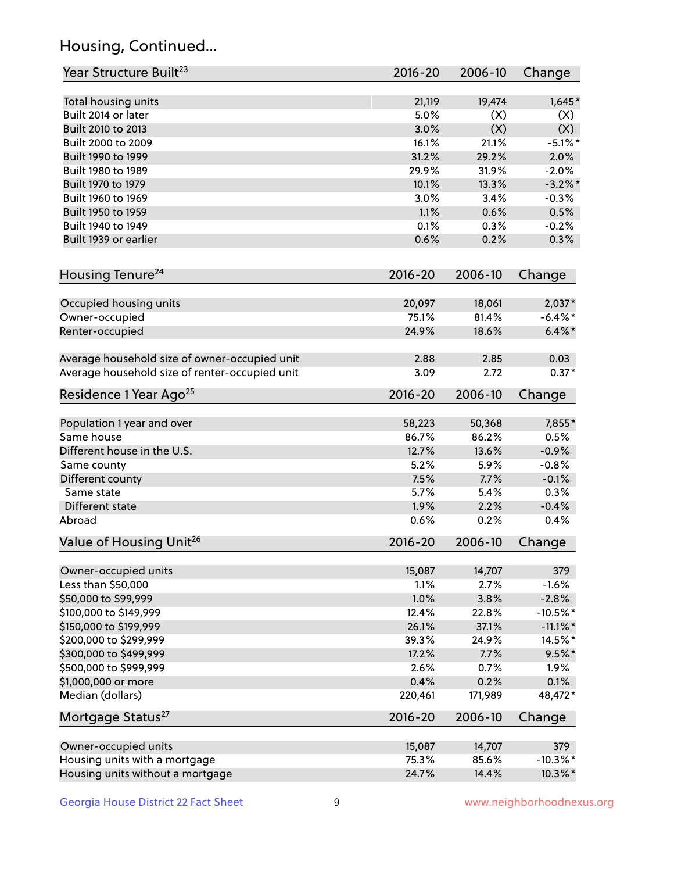## Housing, Continued...

| Year Structure Built <sup>23</sup>             | 2016-20     | 2006-10 | Change      |
|------------------------------------------------|-------------|---------|-------------|
| Total housing units                            | 21,119      | 19,474  | $1,645*$    |
| Built 2014 or later                            | 5.0%        | (X)     | (X)         |
| Built 2010 to 2013                             | 3.0%        | (X)     | (X)         |
| Built 2000 to 2009                             | 16.1%       | 21.1%   | $-5.1\%$ *  |
| Built 1990 to 1999                             | 31.2%       | 29.2%   | 2.0%        |
| Built 1980 to 1989                             | 29.9%       | 31.9%   | $-2.0%$     |
| Built 1970 to 1979                             | 10.1%       | 13.3%   | $-3.2\%$ *  |
| Built 1960 to 1969                             | 3.0%        | 3.4%    | $-0.3%$     |
| Built 1950 to 1959                             | 1.1%        | 0.6%    | 0.5%        |
| Built 1940 to 1949                             | 0.1%        | 0.3%    | $-0.2%$     |
| Built 1939 or earlier                          | 0.6%        | 0.2%    | 0.3%        |
|                                                |             |         |             |
| Housing Tenure <sup>24</sup>                   | $2016 - 20$ | 2006-10 | Change      |
| Occupied housing units                         | 20,097      | 18,061  | 2,037*      |
| Owner-occupied                                 | 75.1%       | 81.4%   | $-6.4\%$ *  |
| Renter-occupied                                | 24.9%       | 18.6%   | $6.4\% *$   |
| Average household size of owner-occupied unit  | 2.88        | 2.85    | 0.03        |
| Average household size of renter-occupied unit | 3.09        | 2.72    | $0.37*$     |
| Residence 1 Year Ago <sup>25</sup>             | $2016 - 20$ | 2006-10 | Change      |
| Population 1 year and over                     | 58,223      | 50,368  | 7,855*      |
| Same house                                     | 86.7%       | 86.2%   | 0.5%        |
| Different house in the U.S.                    | 12.7%       | 13.6%   | $-0.9%$     |
|                                                | 5.2%        | 5.9%    | $-0.8%$     |
| Same county                                    | 7.5%        | 7.7%    | $-0.1%$     |
| Different county<br>Same state                 | 5.7%        | 5.4%    | 0.3%        |
|                                                |             | 2.2%    |             |
| Different state                                | 1.9%        |         | $-0.4%$     |
| Abroad                                         | 0.6%        | 0.2%    | 0.4%        |
| Value of Housing Unit <sup>26</sup>            | $2016 - 20$ | 2006-10 | Change      |
| Owner-occupied units                           | 15,087      | 14,707  | 379         |
| Less than \$50,000                             | 1.1%        | 2.7%    | $-1.6%$     |
| \$50,000 to \$99,999                           | 1.0%        | 3.8%    | $-2.8%$     |
| \$100,000 to \$149,999                         | 12.4%       | 22.8%   | $-10.5%$ *  |
| \$150,000 to \$199,999                         | 26.1%       | 37.1%   | $-11.1\%$ * |
| \$200,000 to \$299,999                         | 39.3%       | 24.9%   | 14.5%*      |
| \$300,000 to \$499,999                         | 17.2%       | 7.7%    | $9.5%$ *    |
| \$500,000 to \$999,999                         | 2.6%        | 0.7%    | 1.9%        |
| \$1,000,000 or more                            | 0.4%        | 0.2%    | 0.1%        |
| Median (dollars)                               | 220,461     | 171,989 | 48,472*     |
| Mortgage Status <sup>27</sup>                  | $2016 - 20$ | 2006-10 | Change      |
| Owner-occupied units                           | 15,087      | 14,707  | 379         |
| Housing units with a mortgage                  | 75.3%       | 85.6%   | $-10.3\%$ * |
| Housing units without a mortgage               | 24.7%       | 14.4%   | 10.3%*      |
|                                                |             |         |             |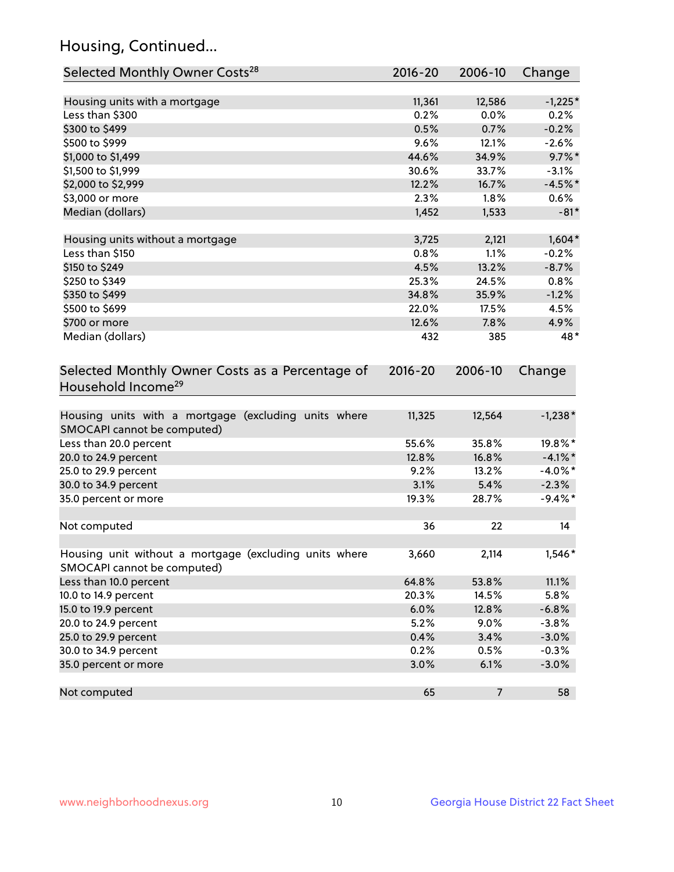## Housing, Continued...

| Selected Monthly Owner Costs <sup>28</sup>                                            | 2016-20 | 2006-10        | Change     |
|---------------------------------------------------------------------------------------|---------|----------------|------------|
| Housing units with a mortgage                                                         | 11,361  | 12,586         | $-1,225*$  |
| Less than \$300                                                                       | 0.2%    | 0.0%           | 0.2%       |
| \$300 to \$499                                                                        | 0.5%    | 0.7%           | $-0.2%$    |
| \$500 to \$999                                                                        | 9.6%    | 12.1%          | $-2.6%$    |
| \$1,000 to \$1,499                                                                    | 44.6%   | 34.9%          | $9.7\%$ *  |
| \$1,500 to \$1,999                                                                    | 30.6%   | 33.7%          | $-3.1%$    |
| \$2,000 to \$2,999                                                                    | 12.2%   | 16.7%          | $-4.5%$ *  |
| \$3,000 or more                                                                       | 2.3%    | 1.8%           | 0.6%       |
| Median (dollars)                                                                      | 1,452   | 1,533          | $-81*$     |
| Housing units without a mortgage                                                      | 3,725   | 2,121          | $1,604*$   |
| Less than \$150                                                                       | 0.8%    | 1.1%           | $-0.2%$    |
| \$150 to \$249                                                                        | 4.5%    | 13.2%          | $-8.7%$    |
| \$250 to \$349                                                                        | 25.3%   | 24.5%          | 0.8%       |
| \$350 to \$499                                                                        | 34.8%   | 35.9%          | $-1.2%$    |
| \$500 to \$699                                                                        | 22.0%   | 17.5%          | 4.5%       |
| \$700 or more                                                                         | 12.6%   | 7.8%           | 4.9%       |
| Median (dollars)                                                                      | 432     | 385            | $48*$      |
| Selected Monthly Owner Costs as a Percentage of<br>Household Income <sup>29</sup>     |         |                | Change     |
| Housing units with a mortgage (excluding units where<br>SMOCAPI cannot be computed)   | 11,325  | 12,564         | $-1,238*$  |
| Less than 20.0 percent                                                                | 55.6%   | 35.8%          | 19.8%*     |
| 20.0 to 24.9 percent                                                                  | 12.8%   | 16.8%          | $-4.1\%$ * |
| 25.0 to 29.9 percent                                                                  | 9.2%    | 13.2%          | $-4.0\%$ * |
| 30.0 to 34.9 percent                                                                  | 3.1%    | 5.4%           | $-2.3%$    |
| 35.0 percent or more                                                                  | 19.3%   | 28.7%          | $-9.4\%$ * |
| Not computed                                                                          | 36      | 22             | 14         |
| Housing unit without a mortgage (excluding units where<br>SMOCAPI cannot be computed) | 3,660   | 2,114          | $1,546*$   |
| Less than 10.0 percent                                                                | 64.8%   | 53.8%          | 11.1%      |
| 10.0 to 14.9 percent                                                                  | 20.3%   | 14.5%          | 5.8%       |
| 15.0 to 19.9 percent                                                                  | 6.0%    | 12.8%          | $-6.8%$    |
| 20.0 to 24.9 percent                                                                  | 5.2%    | 9.0%           | $-3.8%$    |
| 25.0 to 29.9 percent                                                                  | 0.4%    | 3.4%           | $-3.0%$    |
| 30.0 to 34.9 percent                                                                  | 0.2%    | 0.5%           | $-0.3%$    |
| 35.0 percent or more                                                                  | 3.0%    | 6.1%           | $-3.0%$    |
| Not computed                                                                          | 65      | $\overline{7}$ | 58         |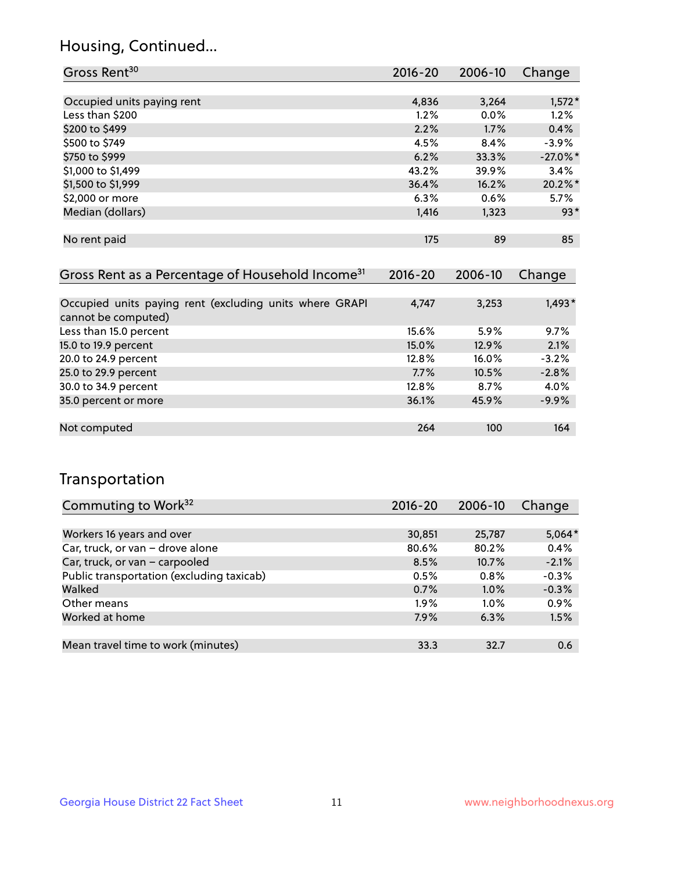### Housing, Continued...

| Gross Rent <sup>30</sup>                                     | 2016-20     | 2006-10     | Change      |
|--------------------------------------------------------------|-------------|-------------|-------------|
|                                                              |             |             |             |
| Occupied units paying rent                                   | 4,836       | 3,264       | $1,572*$    |
| Less than \$200                                              | $1.2\%$     | $0.0\%$     | 1.2%        |
| \$200 to \$499                                               | 2.2%        | 1.7%        | 0.4%        |
| \$500 to \$749                                               | 4.5%        | 8.4%        | $-3.9%$     |
| \$750 to \$999                                               | 6.2%        | 33.3%       | $-27.0\%$ * |
| \$1,000 to \$1,499                                           | 43.2%       | 39.9%       | 3.4%        |
| \$1,500 to \$1,999                                           | 36.4%       | 16.2%       | 20.2%*      |
| \$2,000 or more                                              | 6.3%        | 0.6%        | 5.7%        |
| Median (dollars)                                             | 1,416       | 1,323       | $93*$       |
|                                                              |             |             |             |
| No rent paid                                                 | 175         | 89          | 85          |
|                                                              |             |             |             |
| Gross Rent as a Percentage of Household Income <sup>31</sup> | $2016 - 20$ | $2006 - 10$ | Change      |

| <u>orossi kome de a riorositago ori riodeonora meomo</u> |       |          | -------  |
|----------------------------------------------------------|-------|----------|----------|
|                                                          |       |          |          |
| Occupied units paying rent (excluding units where GRAPI  | 4,747 | 3,253    | $1,493*$ |
| cannot be computed)                                      |       |          |          |
| Less than 15.0 percent                                   | 15.6% | 5.9%     | 9.7%     |
| 15.0 to 19.9 percent                                     | 15.0% | 12.9%    | 2.1%     |
| 20.0 to 24.9 percent                                     | 12.8% | $16.0\%$ | $-3.2%$  |
| 25.0 to 29.9 percent                                     | 7.7%  | 10.5%    | $-2.8%$  |
| 30.0 to 34.9 percent                                     | 12.8% | 8.7%     | 4.0%     |
| 35.0 percent or more                                     | 36.1% | 45.9%    | $-9.9%$  |
|                                                          |       |          |          |
| Not computed                                             | 264   | 100      | 164      |

### Transportation

| Commuting to Work <sup>32</sup>           | 2016-20 | 2006-10 | Change   |
|-------------------------------------------|---------|---------|----------|
|                                           |         |         |          |
| Workers 16 years and over                 | 30,851  | 25,787  | $5,064*$ |
| Car, truck, or van - drove alone          | 80.6%   | 80.2%   | 0.4%     |
| Car, truck, or van - carpooled            | 8.5%    | 10.7%   | $-2.1%$  |
| Public transportation (excluding taxicab) | 0.5%    | $0.8\%$ | $-0.3%$  |
| Walked                                    | 0.7%    | 1.0%    | $-0.3%$  |
| Other means                               | $1.9\%$ | $1.0\%$ | 0.9%     |
| Worked at home                            | 7.9%    | 6.3%    | 1.5%     |
|                                           |         |         |          |
| Mean travel time to work (minutes)        | 33.3    | 32.7    | 0.6      |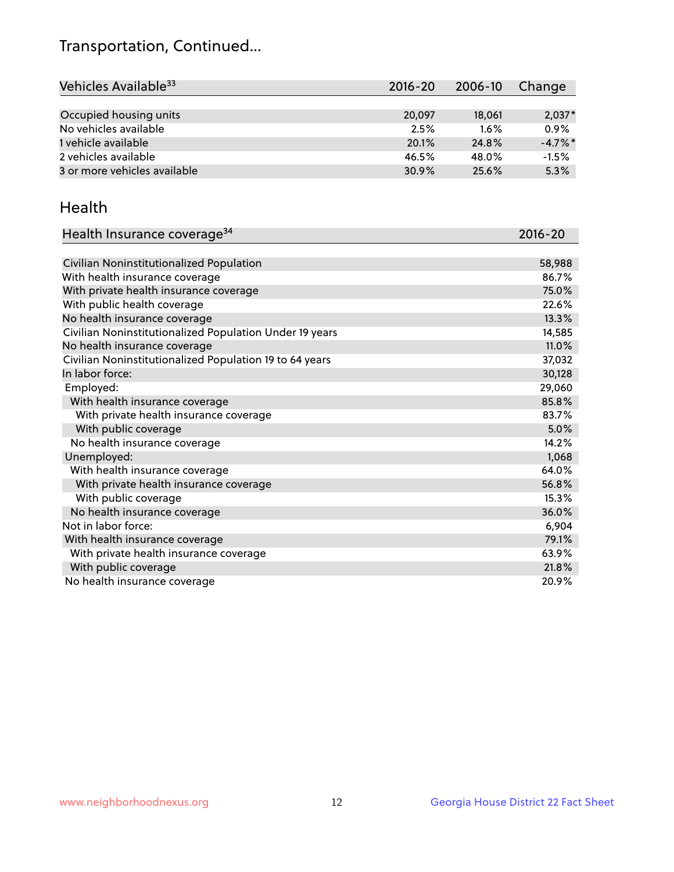## Transportation, Continued...

| Vehicles Available <sup>33</sup> | 2016-20 | 2006-10 | Change     |
|----------------------------------|---------|---------|------------|
|                                  |         |         |            |
| Occupied housing units           | 20,097  | 18,061  | $2,037*$   |
| No vehicles available            | 2.5%    | $1.6\%$ | 0.9%       |
| 1 vehicle available              | 20.1%   | 24.8%   | $-4.7\%$ * |
| 2 vehicles available             | 46.5%   | 48.0%   | $-1.5%$    |
| 3 or more vehicles available     | 30.9%   | 25.6%   | 5.3%       |

#### Health

| Health Insurance coverage <sup>34</sup>                 | 2016-20 |
|---------------------------------------------------------|---------|
|                                                         |         |
| Civilian Noninstitutionalized Population                | 58,988  |
| With health insurance coverage                          | 86.7%   |
| With private health insurance coverage                  | 75.0%   |
| With public health coverage                             | 22.6%   |
| No health insurance coverage                            | 13.3%   |
| Civilian Noninstitutionalized Population Under 19 years | 14,585  |
| No health insurance coverage                            | 11.0%   |
| Civilian Noninstitutionalized Population 19 to 64 years | 37,032  |
| In labor force:                                         | 30,128  |
| Employed:                                               | 29,060  |
| With health insurance coverage                          | 85.8%   |
| With private health insurance coverage                  | 83.7%   |
| With public coverage                                    | 5.0%    |
| No health insurance coverage                            | 14.2%   |
| Unemployed:                                             | 1,068   |
| With health insurance coverage                          | 64.0%   |
| With private health insurance coverage                  | 56.8%   |
| With public coverage                                    | 15.3%   |
| No health insurance coverage                            | 36.0%   |
| Not in labor force:                                     | 6,904   |
| With health insurance coverage                          | 79.1%   |
| With private health insurance coverage                  | 63.9%   |
| With public coverage                                    | 21.8%   |
| No health insurance coverage                            | 20.9%   |